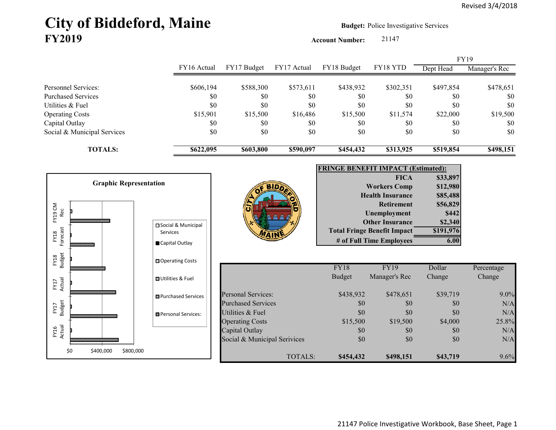# City of Biddeford, Maine **Budget: Police Investigative Services FY2019**

**Account Number:** 21147

|                             |             |             |             |             |                | <b>FY19</b> |               |
|-----------------------------|-------------|-------------|-------------|-------------|----------------|-------------|---------------|
|                             | FY16 Actual | FY17 Budget | FY17 Actual | FY18 Budget | FY18 YTD       | Dept Head   | Manager's Rec |
|                             |             |             |             |             |                |             |               |
| Personnel Services:         | \$606,194   | \$588,300   | \$573,611   | \$438,932   | \$302,351      | \$497,854   | \$478,651     |
| <b>Purchased Services</b>   | \$0         | \$0         | \$0         | \$0         | <sup>\$0</sup> | \$0         | \$0           |
| Utilities & Fuel            | \$0         | \$0         | \$0         | \$0         | \$0            | \$0         | \$0           |
| <b>Operating Costs</b>      | \$15,901    | \$15,500    | \$16,486    | \$15,500    | \$11,574       | \$22,000    | \$19,500      |
| Capital Outlay              | \$0         | \$0         | \$0         | \$0         | \$0            | \$0         | \$0           |
| Social & Municipal Services | \$0         | \$0         | \$0         | \$0         | \$0            | \$0         | \$0           |
| <b>TOTALS:</b>              | \$622,095   | \$603,800   | \$590,097   | \$454,432   | \$313,925      | \$519,854   | \$498,151     |

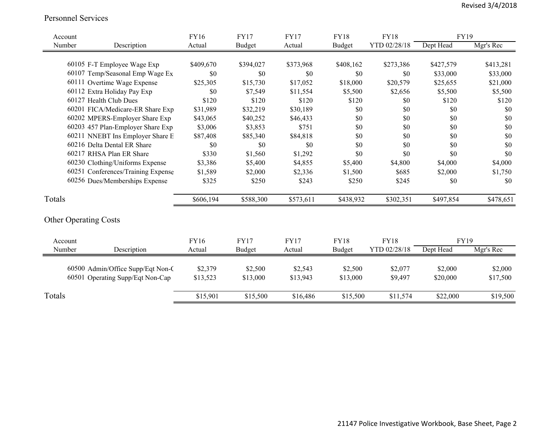#### Personnel Services

| Account                      |                                    | <b>FY16</b> | <b>FY17</b>   | <b>FY17</b> | <b>FY18</b>   | <b>FY18</b>  | <b>FY19</b> |           |
|------------------------------|------------------------------------|-------------|---------------|-------------|---------------|--------------|-------------|-----------|
| Number                       | Description                        | Actual      | <b>Budget</b> | Actual      | <b>Budget</b> | YTD 02/28/18 | Dept Head   | Mgr's Rec |
|                              |                                    |             |               |             |               |              |             |           |
|                              | 60105 F-T Employee Wage Exp        | \$409,670   | \$394,027     | \$373,968   | \$408,162     | \$273,386    | \$427,579   | \$413,281 |
|                              | 60107 Temp/Seasonal Emp Wage Ex    | \$0         | \$0           | \$0         | \$0           | \$0          | \$33,000    | \$33,000  |
|                              | 60111 Overtime Wage Expense        | \$25,305    | \$15,730      | \$17,052    | \$18,000      | \$20,579     | \$25,655    | \$21,000  |
|                              | 60112 Extra Holiday Pay Exp        | \$0         | \$7,549       | \$11,554    | \$5,500       | \$2,656      | \$5,500     | \$5,500   |
|                              | 60127 Health Club Dues             | \$120       | \$120         | \$120       | \$120         | \$0          | \$120       | \$120     |
|                              | 60201 FICA/Medicare-ER Share Exp   | \$31,989    | \$32,219      | \$30,189    | \$0           | \$0          | \$0         | \$0       |
|                              | 60202 MPERS-Employer Share Exp     | \$43,065    | \$40,252      | \$46,433    | \$0           | \$0          | \$0         | \$0       |
|                              | 60203 457 Plan-Employer Share Exp  | \$3,006     | \$3,853       | \$751       | \$0           | \$0          | \$0         | \$0       |
|                              | 60211 NNEBT Ins Employer Share E   | \$87,408    | \$85,340      | \$84,818    | \$0           | \$0          | \$0         | \$0       |
|                              | 60216 Delta Dental ER Share        | \$0         | \$0           | \$0         | \$0           | \$0          | \$0         | \$0       |
|                              | 60217 RHSA Plan ER Share           | \$330       | \$1,560       | \$1,292     | \$0           | \$0          | \$0         | \$0       |
|                              | 60230 Clothing/Uniforms Expense    | \$3,386     | \$5,400       | \$4,855     | \$5,400       | \$4,800      | \$4,000     | \$4,000   |
|                              | 60251 Conferences/Training Expense | \$1,589     | \$2,000       | \$2,336     | \$1,500       | \$685        | \$2,000     | \$1,750   |
|                              | 60256 Dues/Memberships Expense     | \$325       | \$250         | \$243       | \$250         | \$245        | \$0         | \$0       |
| Totals                       |                                    | \$606,194   | \$588,300     | \$573,611   | \$438,932     | \$302,351    | \$497,854   | \$478,651 |
| <b>Other Operating Costs</b> |                                    |             |               |             |               |              |             |           |
| Account                      |                                    | FY16        | <b>FY17</b>   | <b>FY17</b> | <b>FY18</b>   | <b>FY18</b>  | <b>FY19</b> |           |
| Number                       | Description                        | Actual      | <b>Budget</b> | Actual      | Budget        | YTD 02/28/18 | Dept Head   | Mgr's Rec |
|                              | 60500 Admin/Office Supp/Eqt Non-C  | \$2,379     | \$2,500       | \$2,543     | \$2,500       | \$2,077      | \$2,000     | \$2,000   |
|                              | 60501 Operating Supp/Eqt Non-Cap   | \$13,523    | \$13,000      | \$13,943    | \$13,000      | \$9,497      | \$20,000    | \$17,500  |
| Totals                       |                                    | \$15,901    | \$15,500      | \$16,486    | \$15,500      | \$11,574     | \$22,000    | \$19,500  |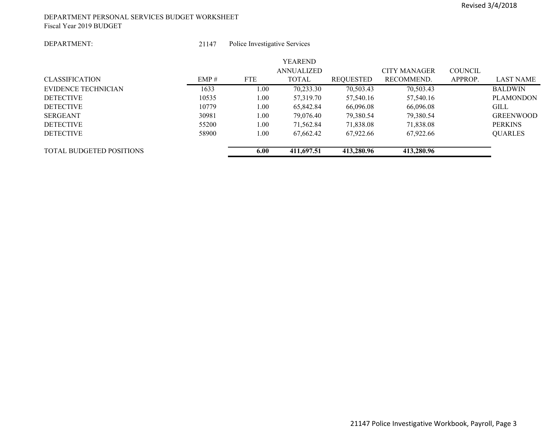#### DEPARTMENT PERSONAL SERVICES BUDGET WORKSHEET Fiscal Year 2019 BUDGET

#### DEPARTMENT:

 21147Police Investigative Services

| <b>TOTAL BUDGETED POSITIONS</b> |       | 6.00       | 411,697.51        | 413,280.96 | 413,280.96          |                |                  |
|---------------------------------|-------|------------|-------------------|------------|---------------------|----------------|------------------|
| <b>DETECTIVE</b>                | 58900 | 1.00       | 67.662.42         | 67,922.66  | 67,922.66           |                | <b>QUARLES</b>   |
| <b>DETECTIVE</b>                | 55200 | 1.00       | 71,562.84         | 71,838.08  | 71,838.08           |                | <b>PERKINS</b>   |
| <b>SERGEANT</b>                 | 30981 | 1.00       | 79,076.40         | 79,380.54  | 79,380.54           |                | <b>GREENWOOD</b> |
| <b>DETECTIVE</b>                | 10779 | 1.00       | 65.842.84         | 66,096.08  | 66,096.08           |                | <b>GILL</b>      |
| <b>DETECTIVE</b>                | 10535 | 1.00       | 57,319.70         | 57,540.16  | 57,540.16           |                | <b>PLAMONDON</b> |
| EVIDENCE TECHNICIAN             | 1633  | 1.00       | 70,233.30         | 70,503.43  | 70,503.43           |                | <b>BALDWIN</b>   |
| <b>CLASSIFICATION</b>           | EMP#  | <b>FTE</b> | <b>TOTAL</b>      | REQUESTED  | RECOMMEND.          | APPROP.        | <b>LAST NAME</b> |
|                                 |       |            | <b>ANNUALIZED</b> |            | <b>CITY MANAGER</b> | <b>COUNCIL</b> |                  |
|                                 |       |            | <b>YEAREND</b>    |            |                     |                |                  |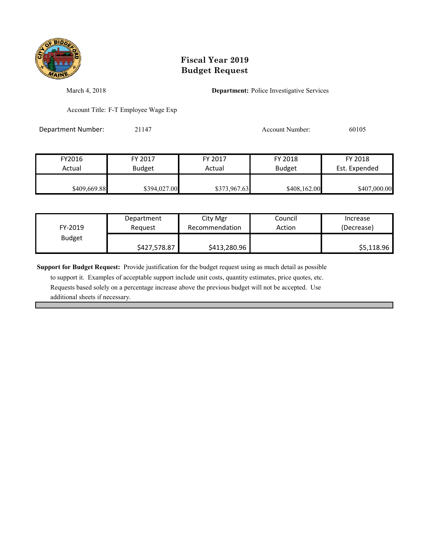

March 4, 2018 **Department:** Police Investigative Services

Account Title: F-T Employee Wage Exp

Department Number: 21147 21147 Account Number: 60105

| FY2016       | FY 2017       | FY 2017      | FY 2018       | FY 2018       |
|--------------|---------------|--------------|---------------|---------------|
| Actual       | <b>Budget</b> | Actual       | <b>Budget</b> | Est. Expended |
| \$409,669.88 | \$394,027.00  | \$373,967.63 | \$408,162.00  | \$407,000.00  |

| FY-2019       | Department   | City Mgr       | Council | Increase   |
|---------------|--------------|----------------|---------|------------|
|               | Reauest      | Recommendation | Action  | (Decrease) |
| <b>Budget</b> | \$427,578.87 | \$413,280.96   |         | \$5,118.96 |

**Support for Budget Request:** Provide justification for the budget request using as much detail as possible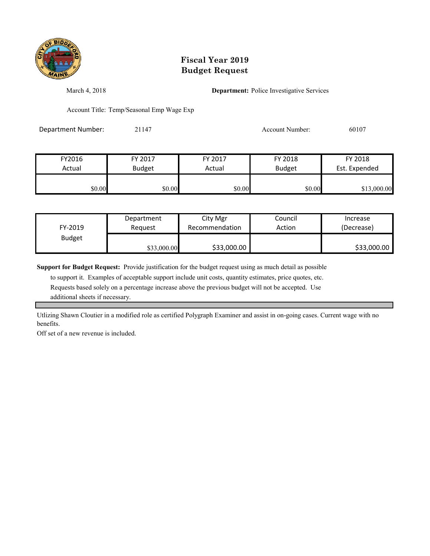

March 4, 2018 **Department:** Police Investigative Services

Account Title: Temp/Seasonal Emp Wage Exp

Department Number: 21147 21147 Account Number: 60107

| FY2016 | FY 2017       | FY 2017 | FY 2018       | FY 2018       |
|--------|---------------|---------|---------------|---------------|
| Actual | <b>Budget</b> | Actual  | <b>Budget</b> | Est. Expended |
| \$0.00 | \$0.00        | \$0.00  | \$0.00        | \$13,000.00   |

| FY-2019       | Department  | City Mgr       | Council | Increase    |
|---------------|-------------|----------------|---------|-------------|
|               | Reauest     | Recommendation | Action  | (Decrease)  |
| <b>Budget</b> | \$33,000.00 | \$33,000.00    |         | \$33,000.00 |

**Support for Budget Request:** Provide justification for the budget request using as much detail as possible

 to support it. Examples of acceptable support include unit costs, quantity estimates, price quotes, etc. Requests based solely on a percentage increase above the previous budget will not be accepted. Use additional sheets if necessary.

Utlizing Shawn Cloutier in a modified role as certified Polygraph Examiner and assist in on-going cases. Current wage with no benefits.

Off set of a new revenue is included.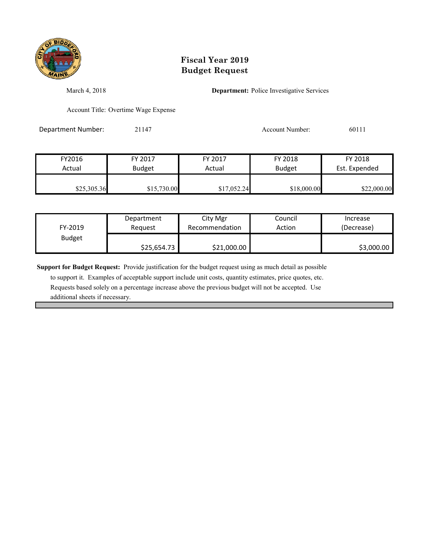

March 4, 2018 **Department:** Police Investigative Services

Account Title: Overtime Wage Expense

Department Number: 21147 21147 Account Number: 60111

| FY2016      | FY 2017       | FY 2017     | FY 2018       | FY 2018       |
|-------------|---------------|-------------|---------------|---------------|
| Actual      | <b>Budget</b> | Actual      | <b>Budget</b> | Est. Expended |
| \$25,305.36 | \$15,730.00   | \$17,052.24 | \$18,000.00   | \$22,000.00   |

| FY-2019       | Department  | City Mgr       | Council | Increase   |
|---------------|-------------|----------------|---------|------------|
|               | Reauest     | Recommendation | Action  | (Decrease) |
| <b>Budget</b> | \$25,654.73 | \$21,000.00    |         | \$3,000.00 |

**Support for Budget Request:** Provide justification for the budget request using as much detail as possible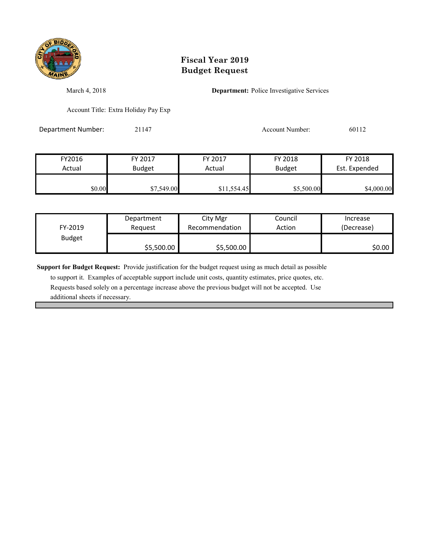

March 4, 2018 **Department:** Police Investigative Services

Account Title: Extra Holiday Pay Exp

Department Number: 21147 21147 Account Number: 60112

| FY2016 | FY 2017       | FY 2017     | FY 2018       | FY 2018       |
|--------|---------------|-------------|---------------|---------------|
| Actual | <b>Budget</b> | Actual      | <b>Budget</b> | Est. Expended |
| \$0.00 | \$7,549.00    | \$11,554.45 | \$5,500.00    | \$4,000.00    |

| FY-2019       | Department | City Mgr       | Council | Increase   |
|---------------|------------|----------------|---------|------------|
|               | Reauest    | Recommendation | Action  | (Decrease) |
| <b>Budget</b> | \$5,500.00 | \$5,500.00     |         | \$0.00 l   |

**Support for Budget Request:** Provide justification for the budget request using as much detail as possible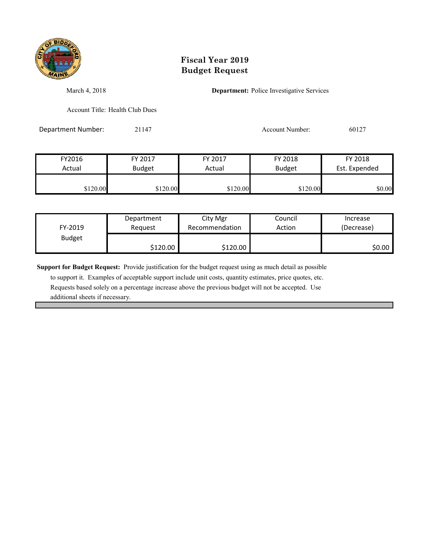

March 4, 2018 **Department:** Police Investigative Services

Account Title: Health Club Dues

Department Number: 21147 21147 Account Number: 60127

| FY2016   | FY 2017       | FY 2017  | FY 2018       | FY 2018       |
|----------|---------------|----------|---------------|---------------|
| Actual   | <b>Budget</b> | Actual   | <b>Budget</b> | Est. Expended |
| \$120.00 | \$120.00      | \$120.00 | \$120.00      | \$0.00        |

| FY-2019       | Department | City Mgr       | Council | Increase   |
|---------------|------------|----------------|---------|------------|
|               | Reauest    | Recommendation | Action  | (Decrease) |
| <b>Budget</b> | \$120.00   | \$120.00       |         | \$0.00∣    |

**Support for Budget Request:** Provide justification for the budget request using as much detail as possible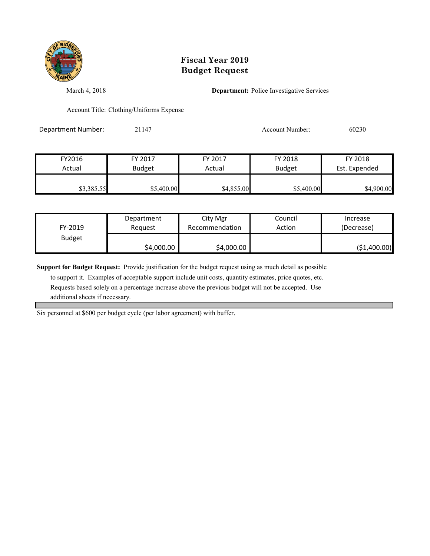

March 4, 2018 **Department:** Police Investigative Services

Account Title: Clothing/Uniforms Expense

Department Number: 21147 21147 Account Number: 60230

| FY2016     | FY 2017       | FY 2017    | FY 2018       | FY 2018       |
|------------|---------------|------------|---------------|---------------|
| Actual     | <b>Budget</b> | Actual     | <b>Budget</b> | Est. Expended |
| \$3,385.55 | \$5,400.00    | \$4,855.00 | \$5,400.00    | \$4,900.00    |

| FY-2019       | Department | City Mgr       | Council | Increase     |
|---------------|------------|----------------|---------|--------------|
|               | Reauest    | Recommendation | Action  | (Decrease)   |
| <b>Budget</b> | \$4,000.00 | \$4,000.00     |         | (\$1,400.00) |

**Support for Budget Request:** Provide justification for the budget request using as much detail as possible

 to support it. Examples of acceptable support include unit costs, quantity estimates, price quotes, etc. Requests based solely on a percentage increase above the previous budget will not be accepted. Use additional sheets if necessary.

Six personnel at \$600 per budget cycle (per labor agreement) with buffer.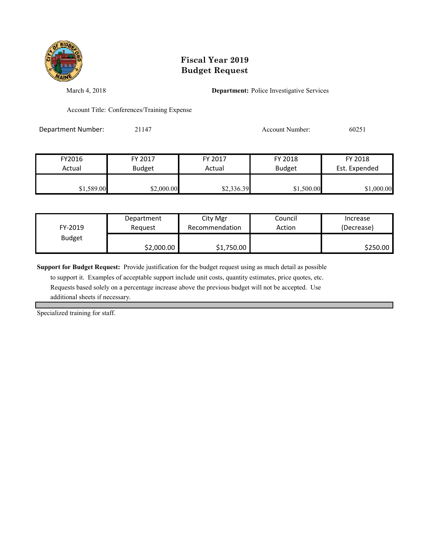

March 4, 2018 **Department:** Police Investigative Services

Account Title: Conferences/Training Expense

Department Number: 21147 21147 Account Number: 60251

| FY2016     | FY 2017       | FY 2017    | FY 2018       | FY 2018       |
|------------|---------------|------------|---------------|---------------|
| Actual     | <b>Budget</b> | Actual     | <b>Budget</b> | Est. Expended |
| \$1,589.00 | \$2,000.00    | \$2,336.39 | \$1,500.00    | \$1,000.00    |

| FY-2019       | Department | City Mgr       | Council | Increase   |
|---------------|------------|----------------|---------|------------|
|               | Reauest    | Recommendation | Action  | (Decrease) |
| <b>Budget</b> | \$2,000.00 | \$1,750.00     |         | \$250.00   |

**Support for Budget Request:** Provide justification for the budget request using as much detail as possible

 to support it. Examples of acceptable support include unit costs, quantity estimates, price quotes, etc. Requests based solely on a percentage increase above the previous budget will not be accepted. Use additional sheets if necessary.

Specialized training for staff.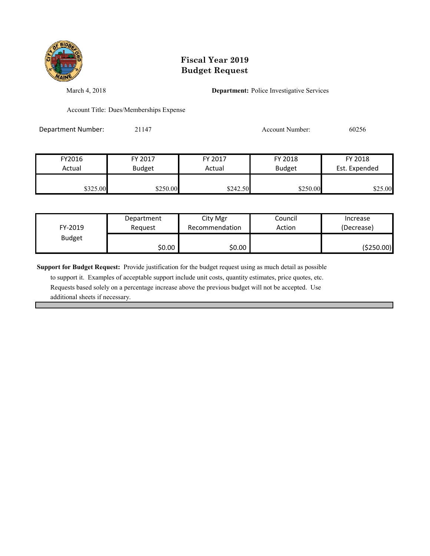

March 4, 2018 **Department:** Police Investigative Services

Account Title: Dues/Memberships Expense

Department Number: 21147 21147 Account Number: 60256

| FY2016   | FY 2017       | FY 2017  | FY 2018       | FY 2018       |
|----------|---------------|----------|---------------|---------------|
| Actual   | <b>Budget</b> | Actual   | <b>Budget</b> | Est. Expended |
| \$325.00 | \$250.00      | \$242.50 | \$250.00      | \$25.00       |

| FY-2019       | Department | City Mgr       | Council | Increase   |
|---------------|------------|----------------|---------|------------|
|               | Reguest    | Recommendation | Action  | (Decrease) |
| <b>Budget</b> | \$0.00     | \$0.00         |         | (\$250.00) |

**Support for Budget Request:** Provide justification for the budget request using as much detail as possible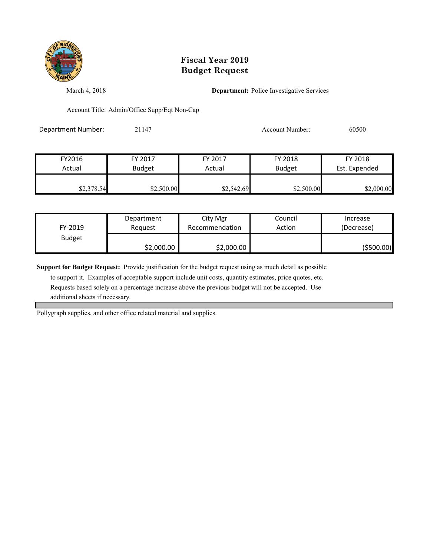

March 4, 2018 **Department:** Police Investigative Services

Account Title: Admin/Office Supp/Eqt Non-Cap

Department Number: 21147 21147 Account Number: 60500

| FY2016     | FY 2017       | FY 2017    | FY 2018       | FY 2018       |
|------------|---------------|------------|---------------|---------------|
| Actual     | <b>Budget</b> | Actual     | <b>Budget</b> | Est. Expended |
| \$2,378.54 | \$2,500.00    | \$2,542.69 | \$2,500.00    | \$2,000.00    |

| FY-2019       | Department | City Mgr       | Council | Increase   |
|---------------|------------|----------------|---------|------------|
|               | Request    | Recommendation | Action  | (Decrease) |
| <b>Budget</b> | \$2,000.00 | \$2,000.00     |         | (\$500.00) |

**Support for Budget Request:** Provide justification for the budget request using as much detail as possible

 to support it. Examples of acceptable support include unit costs, quantity estimates, price quotes, etc. Requests based solely on a percentage increase above the previous budget will not be accepted. Use additional sheets if necessary.

Pollygraph supplies, and other office related material and supplies.